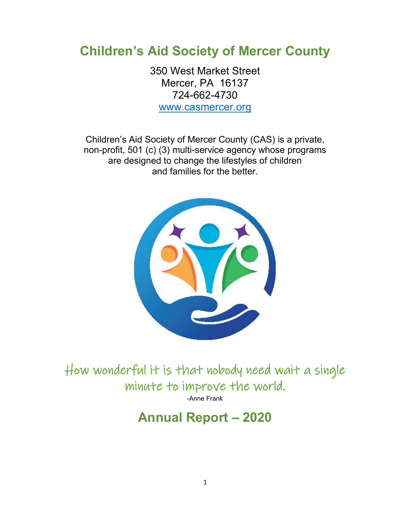# **Children's Aid Society of Mercer County**

350 West Market Street Mercer, PA 16137 724-662-4730 [www.casmercer.org](http://www.casmercer.org/)

Children's Aid Society of Mercer County (CAS) is a private, non-profit, 501 (c) (3) multi-service agency whose programs are designed to change the lifestyles of children and families for the better.



How wonderful it is that nobody need wait a single minute to improve the world.

-Anne Frank

# **Annual Report – 2020**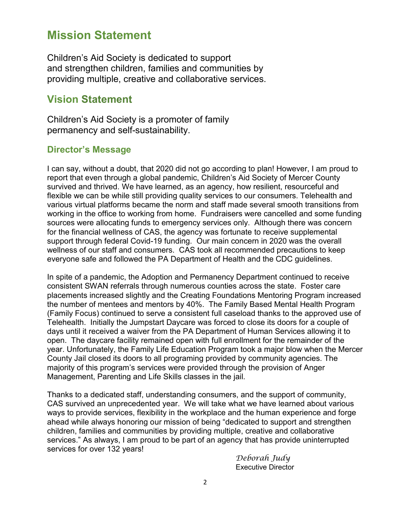# **Mission Statement**

Children's Aid Society is dedicated to support and strengthen children, families and communities by providing multiple, creative and collaborative services.

# **Vision Statement**

Children's Aid Society is a promoter of family permanency and self-sustainability.

## **Director's Message**

I can say, without a doubt, that 2020 did not go according to plan! However, I am proud to report that even through a global pandemic, Children's Aid Society of Mercer County survived and thrived. We have learned, as an agency, how resilient, resourceful and flexible we can be while still providing quality services to our consumers. Telehealth and various virtual platforms became the norm and staff made several smooth transitions from working in the office to working from home. Fundraisers were cancelled and some funding sources were allocating funds to emergency services only. Although there was concern for the financial wellness of CAS, the agency was fortunate to receive supplemental support through federal Covid-19 funding. Our main concern in 2020 was the overall wellness of our staff and consumers. CAS took all recommended precautions to keep everyone safe and followed the PA Department of Health and the CDC guidelines.

In spite of a pandemic, the Adoption and Permanency Department continued to receive consistent SWAN referrals through numerous counties across the state. Foster care placements increased slightly and the Creating Foundations Mentoring Program increased the number of mentees and mentors by 40%. The Family Based Mental Health Program (Family Focus) continued to serve a consistent full caseload thanks to the approved use of Telehealth. Initially the Jumpstart Daycare was forced to close its doors for a couple of days until it received a waiver from the PA Department of Human Services allowing it to open. The daycare facility remained open with full enrollment for the remainder of the year. Unfortunately, the Family Life Education Program took a major blow when the Mercer County Jail closed its doors to all programing provided by community agencies. The majority of this program's services were provided through the provision of Anger Management, Parenting and Life Skills classes in the jail.

Thanks to a dedicated staff, understanding consumers, and the support of community, CAS survived an unprecedented year. We will take what we have learned about various ways to provide services, flexibility in the workplace and the human experience and forge ahead while always honoring our mission of being "dedicated to support and strengthen children, families and communities by providing multiple, creative and collaborative services." As always, I am proud to be part of an agency that has provide uninterrupted services for over 132 years!

*Deborah Judy* Executive Director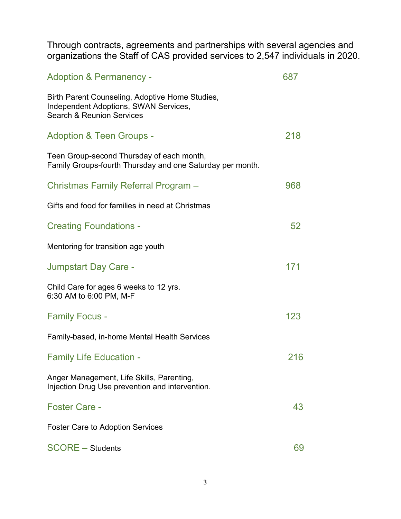Through contracts, agreements and partnerships with several agencies and organizations the Staff of CAS provided services to 2,547 individuals in 2020.

| <b>Adoption &amp; Permanency -</b>                                                                                                      | 687 |
|-----------------------------------------------------------------------------------------------------------------------------------------|-----|
| Birth Parent Counseling, Adoptive Home Studies,<br><b>Independent Adoptions, SWAN Services,</b><br><b>Search &amp; Reunion Services</b> |     |
| <b>Adoption &amp; Teen Groups -</b>                                                                                                     | 218 |
| Teen Group-second Thursday of each month,<br>Family Groups-fourth Thursday and one Saturday per month.                                  |     |
| Christmas Family Referral Program -                                                                                                     | 968 |
| Gifts and food for families in need at Christmas                                                                                        |     |
| <b>Creating Foundations -</b>                                                                                                           | 52  |
| Mentoring for transition age youth                                                                                                      |     |
| <b>Jumpstart Day Care -</b>                                                                                                             | 171 |
| Child Care for ages 6 weeks to 12 yrs.<br>6:30 AM to 6:00 PM, M-F                                                                       |     |
| <b>Family Focus -</b>                                                                                                                   | 123 |
| Family-based, in-home Mental Health Services                                                                                            |     |
| <b>Family Life Education -</b>                                                                                                          | 216 |
| Anger Management, Life Skills, Parenting,<br>Injection Drug Use prevention and intervention.                                            |     |
| <b>Foster Care -</b>                                                                                                                    | 43  |
| <b>Foster Care to Adoption Services</b>                                                                                                 |     |
| <b>SCORE - Students</b>                                                                                                                 | 69  |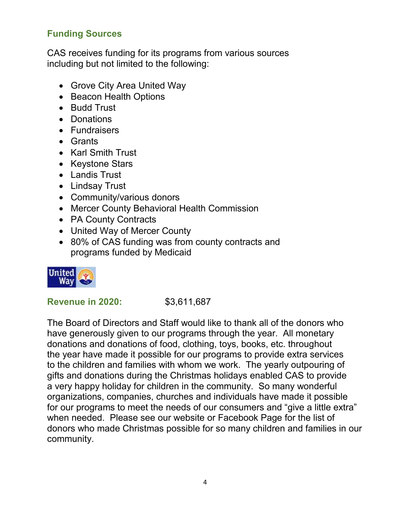# **Funding Sources**

CAS receives funding for its programs from various sources including but not limited to the following:

- Grove City Area United Way
- Beacon Health Options
- Budd Trust
- Donations
- Fundraisers
- Grants
- Karl Smith Trust
- Keystone Stars
- Landis Trust
- Lindsay Trust
- Community/various donors
- Mercer County Behavioral Health Commission
- PA County Contracts
- United Way of Mercer County
- 80% of CAS funding was from county contracts and programs funded by Medicaid



## **Revenue in 2020:** \$3,611,687

The Board of Directors and Staff would like to thank all of the donors who have generously given to our programs through the year. All monetary donations and donations of food, clothing, toys, books, etc. throughout the year have made it possible for our programs to provide extra services to the children and families with whom we work. The yearly outpouring of gifts and donations during the Christmas holidays enabled CAS to provide a very happy holiday for children in the community. So many wonderful organizations, companies, churches and individuals have made it possible for our programs to meet the needs of our consumers and "give a little extra" when needed. Please see our website or Facebook Page for the list of donors who made Christmas possible for so many children and families in our community.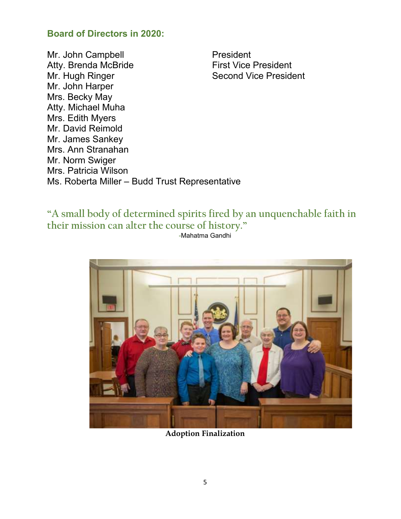## **Board of Directors in 2020:**

Mr. John Campbell **President** Atty. Brenda McBride First Vice President Mr. Hugh Ringer Second Vice President Mr. John Harper Mrs. Becky May Atty. Michael Muha Mrs. Edith Myers Mr. David Reimold Mr. James Sankey Mrs. Ann Stranahan Mr. Norm Swiger Mrs. Patricia Wilson Ms. Roberta Miller – Budd Trust Representative

**"A small body of determined spirits fired by an unquenchable faith in their mission can alter the course of history."** -Mahatma Gandhi



**Adoption Finalization**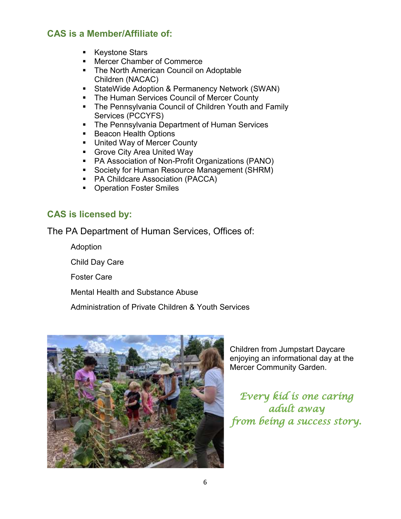### **CAS is a Member/Affiliate of:**

- Keystone Stars
- **Mercer Chamber of Commerce**
- **The North American Council on Adoptable** Children (NACAC)
- **StateWide Adoption & Permanency Network (SWAN)**
- **The Human Services Council of Mercer County**
- **The Pennsylvania Council of Children Youth and Family** Services (PCCYFS)
- **The Pennsylvania Department of Human Services**
- **Beacon Health Options**
- **United Way of Mercer County**
- **Grove City Area United Way**
- PA Association of Non-Profit Organizations (PANO)
- **Society for Human Resource Management (SHRM)**
- PA Childcare Association (PACCA)
- **Operation Foster Smiles**

### **CAS is licensed by:**

The PA Department of Human Services, Offices of:

Adoption

Child Day Care

Foster Care

Mental Health and Substance Abuse

Administration of Private Children & Youth Services



Children from Jumpstart Daycare enjoying an informational day at the Mercer Community Garden.

*Every kid is one caring adult away from being a success story.*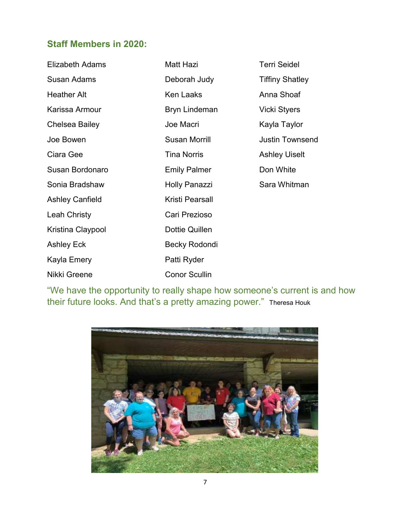# **Staff Members in 2020:**

| <b>Elizabeth Adams</b> | Matt Hazi            | <b>Terri Seidel</b>    |
|------------------------|----------------------|------------------------|
| <b>Susan Adams</b>     | Deborah Judy         | <b>Tiffiny Shatley</b> |
| <b>Heather Alt</b>     | <b>Ken Laaks</b>     | Anna Shoaf             |
| Karissa Armour         | <b>Bryn Lindeman</b> | <b>Vicki Styers</b>    |
| Chelsea Bailey         | Joe Macri            | Kayla Taylor           |
| Joe Bowen              | <b>Susan Morrill</b> | <b>Justin Townsend</b> |
| Ciara Gee              | <b>Tina Norris</b>   | <b>Ashley Uiselt</b>   |
| Susan Bordonaro        | <b>Emily Palmer</b>  | Don White              |
| Sonia Bradshaw         | <b>Holly Panazzi</b> | Sara Whitman           |
| <b>Ashley Canfield</b> | Kristi Pearsall      |                        |
| Leah Christy           | Cari Prezioso        |                        |
| Kristina Claypool      | Dottie Quillen       |                        |
| <b>Ashley Eck</b>      | Becky Rodondi        |                        |
| Kayla Emery            | Patti Ryder          |                        |
| Nikki Greene           | <b>Conor Scullin</b> |                        |

"We have the opportunity to really shape how someone's current is and how their future looks. And that's a pretty amazing power." Theresa Houk